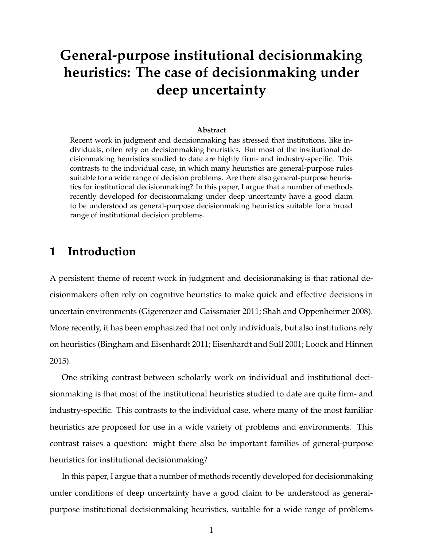# **General-purpose institutional decisionmaking heuristics: The case of decisionmaking under deep uncertainty**

#### **Abstract**

Recent work in judgment and decisionmaking has stressed that institutions, like individuals, often rely on decisionmaking heuristics. But most of the institutional decisionmaking heuristics studied to date are highly firm- and industry-specific. This contrasts to the individual case, in which many heuristics are general-purpose rules suitable for a wide range of decision problems. Are there also general-purpose heuristics for institutional decisionmaking? In this paper, I argue that a number of methods recently developed for decisionmaking under deep uncertainty have a good claim to be understood as general-purpose decisionmaking heuristics suitable for a broad range of institutional decision problems.

## **1 Introduction**

A persistent theme of recent work in judgment and decisionmaking is that rational decisionmakers often rely on cognitive heuristics to make quick and effective decisions in uncertain environments (Gigerenzer and Gaissmaier 2011; Shah and Oppenheimer 2008). More recently, it has been emphasized that not only individuals, but also institutions rely on heuristics (Bingham and Eisenhardt 2011; Eisenhardt and Sull 2001; Loock and Hinnen 2015).

One striking contrast between scholarly work on individual and institutional decisionmaking is that most of the institutional heuristics studied to date are quite firm- and industry-specific. This contrasts to the individual case, where many of the most familiar heuristics are proposed for use in a wide variety of problems and environments. This contrast raises a question: might there also be important families of general-purpose heuristics for institutional decisionmaking?

In this paper, I argue that a number of methods recently developed for decisionmaking under conditions of deep uncertainty have a good claim to be understood as generalpurpose institutional decisionmaking heuristics, suitable for a wide range of problems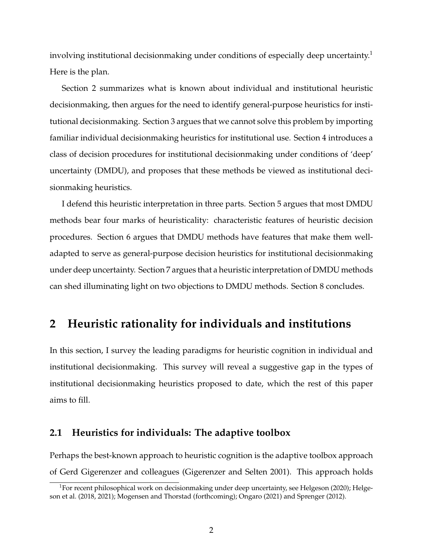involving institutional decisionmaking under conditions of especially deep uncertainty.<sup>1</sup> Here is the plan.

Section 2 summarizes what is known about individual and institutional heuristic decisionmaking, then argues for the need to identify general-purpose heuristics for institutional decisionmaking. Section 3 argues that we cannot solve this problem by importing familiar individual decisionmaking heuristics for institutional use. Section 4 introduces a class of decision procedures for institutional decisionmaking under conditions of 'deep' uncertainty (DMDU), and proposes that these methods be viewed as institutional decisionmaking heuristics.

I defend this heuristic interpretation in three parts. Section 5 argues that most DMDU methods bear four marks of heuristicality: characteristic features of heuristic decision procedures. Section 6 argues that DMDU methods have features that make them welladapted to serve as general-purpose decision heuristics for institutional decisionmaking under deep uncertainty. Section 7 argues that a heuristic interpretation of DMDU methods can shed illuminating light on two objections to DMDU methods. Section 8 concludes.

## **2 Heuristic rationality for individuals and institutions**

In this section, I survey the leading paradigms for heuristic cognition in individual and institutional decisionmaking. This survey will reveal a suggestive gap in the types of institutional decisionmaking heuristics proposed to date, which the rest of this paper aims to fill.

### **2.1 Heuristics for individuals: The adaptive toolbox**

Perhaps the best-known approach to heuristic cognition is the adaptive toolbox approach of Gerd Gigerenzer and colleagues (Gigerenzer and Selten 2001). This approach holds

<sup>&</sup>lt;sup>1</sup>For recent philosophical work on decisionmaking under deep uncertainty, see Helgeson (2020); Helgeson et al. (2018, 2021); Mogensen and Thorstad (forthcoming); Ongaro (2021) and Sprenger (2012).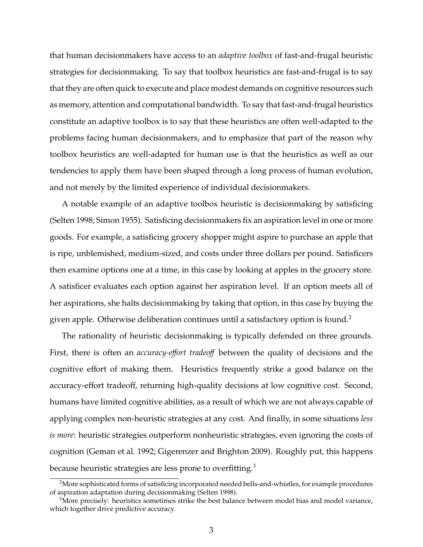that human decisionmakers have access to an *adaptive toolbox* of fast-and-frugal heuristic strategies for decisionmaking. To say that toolbox heuristics are fast-and-frugal is to say that they are often quick to execute and place modest demands on cognitive resources such as memory, attention and computational bandwidth. To say that fast-and-frugal heuristics constitute an adaptive toolbox is to say that these heuristics are often well-adapted to the problems facing human decisionmakers, and to emphasize that part of the reason why toolbox heuristics are well-adapted for human use is that the heuristics as well as our tendencies to apply them have been shaped through a long process of human evolution, and not merely by the limited experience of individual decisionmakers.

A notable example of an adaptive toolbox heuristic is decisionmaking by satisficing (Selten 1998; Simon 1955). Satisficing decisionmakers fix an aspiration level in one or more goods. For example, a satisficing grocery shopper might aspire to purchase an apple that is ripe, unblemished, medium-sized, and costs under three dollars per pound. Satisficers then examine options one at a time, in this case by looking at apples in the grocery store. A satisficer evaluates each option against her aspiration level. If an option meets all of her aspirations, she halts decisionmaking by taking that option, in this case by buying the given apple. Otherwise deliberation continues until a satisfactory option is found.<sup>2</sup>

The rationality of heuristic decisionmaking is typically defended on three grounds. First, there is often an *accuracy-e*ff*ort tradeo*ff between the quality of decisions and the cognitive effort of making them. Heuristics frequently strike a good balance on the accuracy-effort tradeoff, returning high-quality decisions at low cognitive cost. Second, humans have limited cognitive abilities, as a result of which we are not always capable of applying complex non-heuristic strategies at any cost. And finally, in some situations *less is more*: heuristic strategies outperform nonheuristic strategies, even ignoring the costs of cognition (Geman et al. 1992; Gigerenzer and Brighton 2009). Roughly put, this happens because heuristic strategies are less prone to overfitting.<sup>3</sup>

<sup>2</sup>More sophisticated forms of satisficing incorporated needed bells-and-whistles, for example procedures of aspiration adaptation during decisionmaking (Selten 1998).

 $3$ More precisely: heuristics sometimes strike the best balance between model bias and model variance, which together drive predictive accuracy.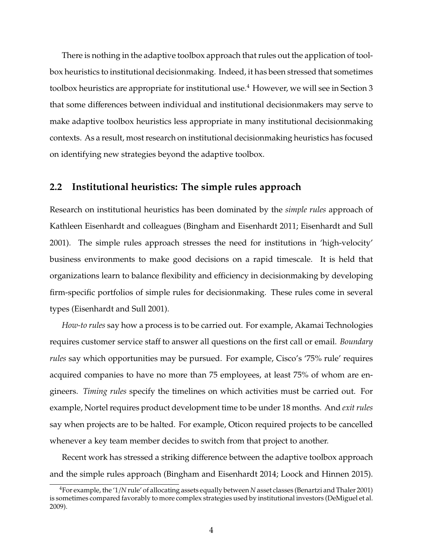There is nothing in the adaptive toolbox approach that rules out the application of toolbox heuristics to institutional decisionmaking. Indeed, it has been stressed that sometimes toolbox heuristics are appropriate for institutional use.<sup>4</sup> However, we will see in Section 3 that some differences between individual and institutional decisionmakers may serve to make adaptive toolbox heuristics less appropriate in many institutional decisionmaking contexts. As a result, most research on institutional decisionmaking heuristics has focused on identifying new strategies beyond the adaptive toolbox.

### **2.2 Institutional heuristics: The simple rules approach**

Research on institutional heuristics has been dominated by the *simple rules* approach of Kathleen Eisenhardt and colleagues (Bingham and Eisenhardt 2011; Eisenhardt and Sull 2001). The simple rules approach stresses the need for institutions in 'high-velocity' business environments to make good decisions on a rapid timescale. It is held that organizations learn to balance flexibility and efficiency in decisionmaking by developing firm-specific portfolios of simple rules for decisionmaking. These rules come in several types (Eisenhardt and Sull 2001).

*How-to rules* say how a process is to be carried out. For example, Akamai Technologies requires customer service staff to answer all questions on the first call or email. *Boundary rules* say which opportunities may be pursued. For example, Cisco's '75% rule' requires acquired companies to have no more than 75 employees, at least 75% of whom are engineers. *Timing rules* specify the timelines on which activities must be carried out. For example, Nortel requires product development time to be under 18 months. And *exit rules* say when projects are to be halted. For example, Oticon required projects to be cancelled whenever a key team member decides to switch from that project to another.

Recent work has stressed a striking difference between the adaptive toolbox approach and the simple rules approach (Bingham and Eisenhardt 2014; Loock and Hinnen 2015).

<sup>4</sup>For example, the '1/*N* rule' of allocating assets equally between *N* asset classes (Benartzi and Thaler 2001) is sometimes compared favorably to more complex strategies used by institutional investors (DeMiguel et al. 2009).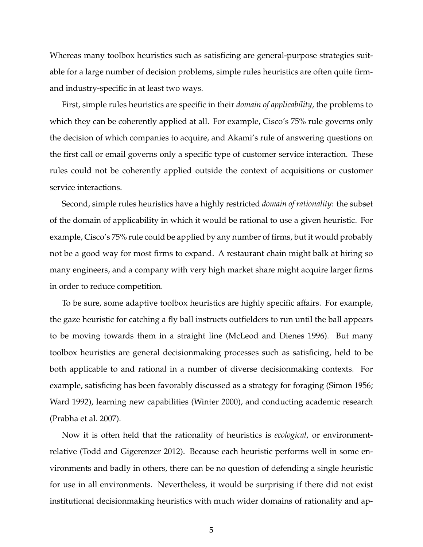Whereas many toolbox heuristics such as satisficing are general-purpose strategies suitable for a large number of decision problems, simple rules heuristics are often quite firmand industry-specific in at least two ways.

First, simple rules heuristics are specific in their *domain of applicability*, the problems to which they can be coherently applied at all. For example, Cisco's 75% rule governs only the decision of which companies to acquire, and Akami's rule of answering questions on the first call or email governs only a specific type of customer service interaction. These rules could not be coherently applied outside the context of acquisitions or customer service interactions.

Second, simple rules heuristics have a highly restricted *domain of rationality*: the subset of the domain of applicability in which it would be rational to use a given heuristic. For example, Cisco's 75% rule could be applied by any number of firms, but it would probably not be a good way for most firms to expand. A restaurant chain might balk at hiring so many engineers, and a company with very high market share might acquire larger firms in order to reduce competition.

To be sure, some adaptive toolbox heuristics are highly specific affairs. For example, the gaze heuristic for catching a fly ball instructs outfielders to run until the ball appears to be moving towards them in a straight line (McLeod and Dienes 1996). But many toolbox heuristics are general decisionmaking processes such as satisficing, held to be both applicable to and rational in a number of diverse decisionmaking contexts. For example, satisficing has been favorably discussed as a strategy for foraging (Simon 1956; Ward 1992), learning new capabilities (Winter 2000), and conducting academic research (Prabha et al. 2007).

Now it is often held that the rationality of heuristics is *ecological*, or environmentrelative (Todd and Gigerenzer 2012). Because each heuristic performs well in some environments and badly in others, there can be no question of defending a single heuristic for use in all environments. Nevertheless, it would be surprising if there did not exist institutional decisionmaking heuristics with much wider domains of rationality and ap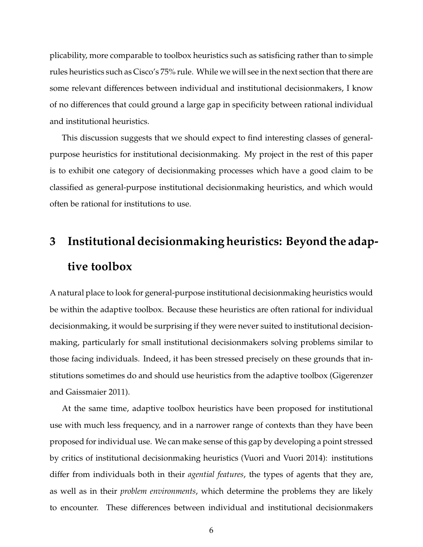plicability, more comparable to toolbox heuristics such as satisficing rather than to simple rules heuristics such as Cisco's 75% rule. While we will see in the next section that there are some relevant differences between individual and institutional decisionmakers, I know of no differences that could ground a large gap in specificity between rational individual and institutional heuristics.

This discussion suggests that we should expect to find interesting classes of generalpurpose heuristics for institutional decisionmaking. My project in the rest of this paper is to exhibit one category of decisionmaking processes which have a good claim to be classified as general-purpose institutional decisionmaking heuristics, and which would often be rational for institutions to use.

# **3 Institutional decisionmaking heuristics: Beyond the adaptive toolbox**

A natural place to look for general-purpose institutional decisionmaking heuristics would be within the adaptive toolbox. Because these heuristics are often rational for individual decisionmaking, it would be surprising if they were never suited to institutional decisionmaking, particularly for small institutional decisionmakers solving problems similar to those facing individuals. Indeed, it has been stressed precisely on these grounds that institutions sometimes do and should use heuristics from the adaptive toolbox (Gigerenzer and Gaissmaier 2011).

At the same time, adaptive toolbox heuristics have been proposed for institutional use with much less frequency, and in a narrower range of contexts than they have been proposed for individual use. We can make sense of this gap by developing a point stressed by critics of institutional decisionmaking heuristics (Vuori and Vuori 2014): institutions differ from individuals both in their *agential features*, the types of agents that they are, as well as in their *problem environments*, which determine the problems they are likely to encounter. These differences between individual and institutional decisionmakers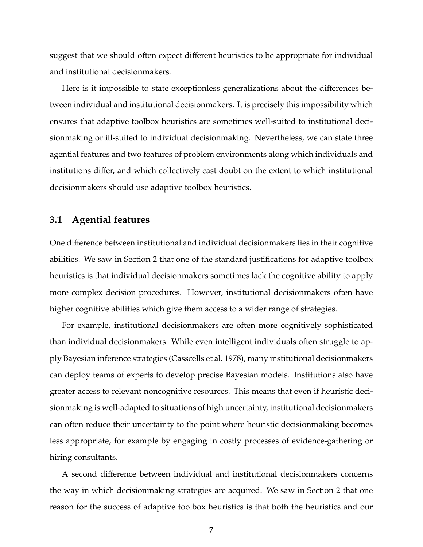suggest that we should often expect different heuristics to be appropriate for individual and institutional decisionmakers.

Here is it impossible to state exceptionless generalizations about the differences between individual and institutional decisionmakers. It is precisely this impossibility which ensures that adaptive toolbox heuristics are sometimes well-suited to institutional decisionmaking or ill-suited to individual decisionmaking. Nevertheless, we can state three agential features and two features of problem environments along which individuals and institutions differ, and which collectively cast doubt on the extent to which institutional decisionmakers should use adaptive toolbox heuristics.

#### **3.1 Agential features**

One difference between institutional and individual decisionmakers lies in their cognitive abilities. We saw in Section 2 that one of the standard justifications for adaptive toolbox heuristics is that individual decisionmakers sometimes lack the cognitive ability to apply more complex decision procedures. However, institutional decisionmakers often have higher cognitive abilities which give them access to a wider range of strategies.

For example, institutional decisionmakers are often more cognitively sophisticated than individual decisionmakers. While even intelligent individuals often struggle to apply Bayesian inference strategies (Casscells et al. 1978), many institutional decisionmakers can deploy teams of experts to develop precise Bayesian models. Institutions also have greater access to relevant noncognitive resources. This means that even if heuristic decisionmaking is well-adapted to situations of high uncertainty, institutional decisionmakers can often reduce their uncertainty to the point where heuristic decisionmaking becomes less appropriate, for example by engaging in costly processes of evidence-gathering or hiring consultants.

A second difference between individual and institutional decisionmakers concerns the way in which decisionmaking strategies are acquired. We saw in Section 2 that one reason for the success of adaptive toolbox heuristics is that both the heuristics and our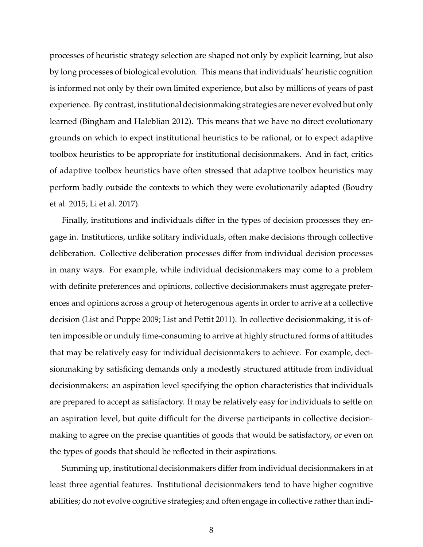processes of heuristic strategy selection are shaped not only by explicit learning, but also by long processes of biological evolution. This means that individuals' heuristic cognition is informed not only by their own limited experience, but also by millions of years of past experience. By contrast, institutional decisionmaking strategies are never evolved but only learned (Bingham and Haleblian 2012). This means that we have no direct evolutionary grounds on which to expect institutional heuristics to be rational, or to expect adaptive toolbox heuristics to be appropriate for institutional decisionmakers. And in fact, critics of adaptive toolbox heuristics have often stressed that adaptive toolbox heuristics may perform badly outside the contexts to which they were evolutionarily adapted (Boudry et al. 2015; Li et al. 2017).

Finally, institutions and individuals differ in the types of decision processes they engage in. Institutions, unlike solitary individuals, often make decisions through collective deliberation. Collective deliberation processes differ from individual decision processes in many ways. For example, while individual decisionmakers may come to a problem with definite preferences and opinions, collective decisionmakers must aggregate preferences and opinions across a group of heterogenous agents in order to arrive at a collective decision (List and Puppe 2009; List and Pettit 2011). In collective decisionmaking, it is often impossible or unduly time-consuming to arrive at highly structured forms of attitudes that may be relatively easy for individual decisionmakers to achieve. For example, decisionmaking by satisficing demands only a modestly structured attitude from individual decisionmakers: an aspiration level specifying the option characteristics that individuals are prepared to accept as satisfactory. It may be relatively easy for individuals to settle on an aspiration level, but quite difficult for the diverse participants in collective decisionmaking to agree on the precise quantities of goods that would be satisfactory, or even on the types of goods that should be reflected in their aspirations.

Summing up, institutional decisionmakers differ from individual decisionmakers in at least three agential features. Institutional decisionmakers tend to have higher cognitive abilities; do not evolve cognitive strategies; and often engage in collective rather than indi-

8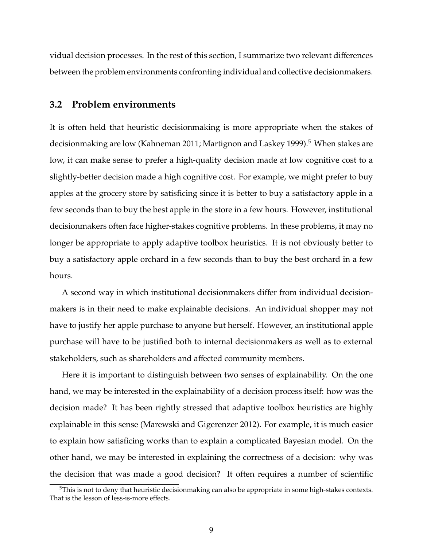vidual decision processes. In the rest of this section, I summarize two relevant differences between the problem environments confronting individual and collective decisionmakers.

#### **3.2 Problem environments**

It is often held that heuristic decisionmaking is more appropriate when the stakes of decisionmaking are low (Kahneman 2011; Martignon and Laskey 1999).<sup>5</sup> When stakes are low, it can make sense to prefer a high-quality decision made at low cognitive cost to a slightly-better decision made a high cognitive cost. For example, we might prefer to buy apples at the grocery store by satisficing since it is better to buy a satisfactory apple in a few seconds than to buy the best apple in the store in a few hours. However, institutional decisionmakers often face higher-stakes cognitive problems. In these problems, it may no longer be appropriate to apply adaptive toolbox heuristics. It is not obviously better to buy a satisfactory apple orchard in a few seconds than to buy the best orchard in a few hours.

A second way in which institutional decisionmakers differ from individual decisionmakers is in their need to make explainable decisions. An individual shopper may not have to justify her apple purchase to anyone but herself. However, an institutional apple purchase will have to be justified both to internal decisionmakers as well as to external stakeholders, such as shareholders and affected community members.

Here it is important to distinguish between two senses of explainability. On the one hand, we may be interested in the explainability of a decision process itself: how was the decision made? It has been rightly stressed that adaptive toolbox heuristics are highly explainable in this sense (Marewski and Gigerenzer 2012). For example, it is much easier to explain how satisficing works than to explain a complicated Bayesian model. On the other hand, we may be interested in explaining the correctness of a decision: why was the decision that was made a good decision? It often requires a number of scientific

<sup>5</sup>This is not to deny that heuristic decisionmaking can also be appropriate in some high-stakes contexts. That is the lesson of less-is-more effects.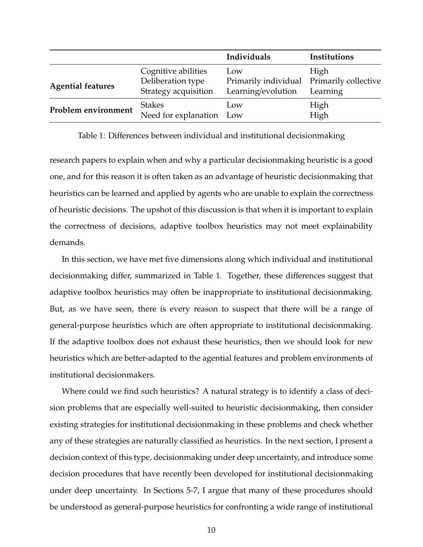|                          |                                                                  | Individuals                                                            | Institutions     |
|--------------------------|------------------------------------------------------------------|------------------------------------------------------------------------|------------------|
| <b>Agential features</b> | Cognitive abilities<br>Deliberation type<br>Strategy acquisition | Low<br>Primarily individual Primarily collective<br>Learning/evolution | High<br>Learning |
| Problem environment      | <b>Stakes</b><br>Need for explanation Low                        | Low                                                                    | High<br>High     |

Table 1: Differences between individual and institutional decisionmaking

research papers to explain when and why a particular decisionmaking heuristic is a good one, and for this reason it is often taken as an advantage of heuristic decisionmaking that heuristics can be learned and applied by agents who are unable to explain the correctness of heuristic decisions. The upshot of this discussion is that when it is important to explain the correctness of decisions, adaptive toolbox heuristics may not meet explainability demands.

In this section, we have met five dimensions along which individual and institutional decisionmaking differ, summarized in Table 1. Together, these differences suggest that adaptive toolbox heuristics may often be inappropriate to institutional decisionmaking. But, as we have seen, there is every reason to suspect that there will be a range of general-purpose heuristics which are often appropriate to institutional decisionmaking. If the adaptive toolbox does not exhaust these heuristics, then we should look for new heuristics which are better-adapted to the agential features and problem environments of institutional decisionmakers.

Where could we find such heuristics? A natural strategy is to identify a class of decision problems that are especially well-suited to heuristic decisionmaking, then consider existing strategies for institutional decisionmaking in these problems and check whether any of these strategies are naturally classified as heuristics. In the next section, I present a decision context of this type, decisionmaking under deep uncertainty, and introduce some decision procedures that have recently been developed for institutional decisionmaking under deep uncertainty. In Sections 5-7, I argue that many of these procedures should be understood as general-purpose heuristics for confronting a wide range of institutional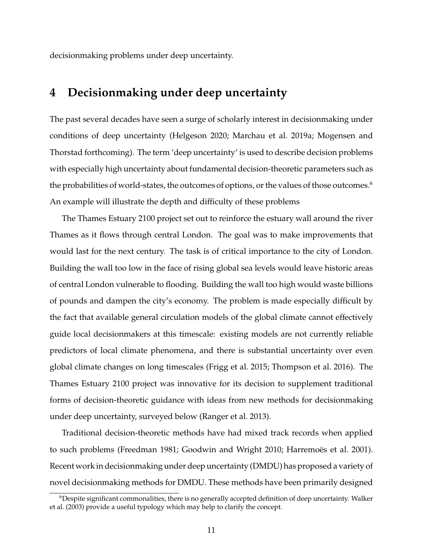decisionmaking problems under deep uncertainty.

## **4 Decisionmaking under deep uncertainty**

The past several decades have seen a surge of scholarly interest in decisionmaking under conditions of deep uncertainty (Helgeson 2020; Marchau et al. 2019a; Mogensen and Thorstad forthcoming). The term 'deep uncertainty' is used to describe decision problems with especially high uncertainty about fundamental decision-theoretic parameters such as the probabilities of world-states, the outcomes of options, or the values of those outcomes.<sup>6</sup> An example will illustrate the depth and difficulty of these problems

The Thames Estuary 2100 project set out to reinforce the estuary wall around the river Thames as it flows through central London. The goal was to make improvements that would last for the next century. The task is of critical importance to the city of London. Building the wall too low in the face of rising global sea levels would leave historic areas of central London vulnerable to flooding. Building the wall too high would waste billions of pounds and dampen the city's economy. The problem is made especially difficult by the fact that available general circulation models of the global climate cannot effectively guide local decisionmakers at this timescale: existing models are not currently reliable predictors of local climate phenomena, and there is substantial uncertainty over even global climate changes on long timescales (Frigg et al. 2015; Thompson et al. 2016). The Thames Estuary 2100 project was innovative for its decision to supplement traditional forms of decision-theoretic guidance with ideas from new methods for decisionmaking under deep uncertainty, surveyed below (Ranger et al. 2013).

Traditional decision-theoretic methods have had mixed track records when applied to such problems (Freedman 1981; Goodwin and Wright 2010; Harremoes et al. 2001). Recent work in decisionmaking under deep uncertainty (DMDU) has proposed a variety of novel decisionmaking methods for DMDU. These methods have been primarily designed

 $6$ Despite significant commonalities, there is no generally accepted definition of deep uncertainty. Walker et al. (2003) provide a useful typology which may help to clarify the concept.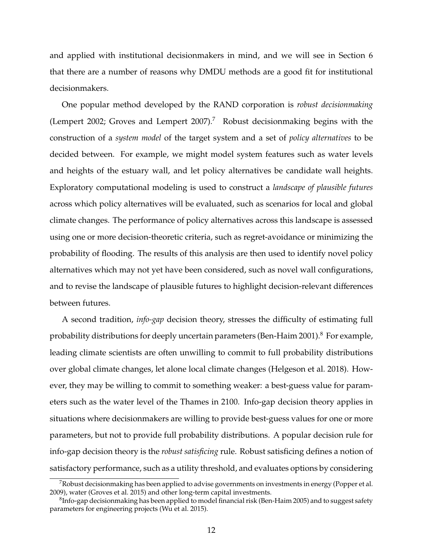and applied with institutional decisionmakers in mind, and we will see in Section 6 that there are a number of reasons why DMDU methods are a good fit for institutional decisionmakers.

One popular method developed by the RAND corporation is *robust decisionmaking* (Lempert 2002; Groves and Lempert 2007).<sup>7</sup> Robust decisionmaking begins with the construction of a *system model* of the target system and a set of *policy alternatives* to be decided between. For example, we might model system features such as water levels and heights of the estuary wall, and let policy alternatives be candidate wall heights. Exploratory computational modeling is used to construct a *landscape of plausible futures* across which policy alternatives will be evaluated, such as scenarios for local and global climate changes. The performance of policy alternatives across this landscape is assessed using one or more decision-theoretic criteria, such as regret-avoidance or minimizing the probability of flooding. The results of this analysis are then used to identify novel policy alternatives which may not yet have been considered, such as novel wall configurations, and to revise the landscape of plausible futures to highlight decision-relevant differences between futures.

A second tradition, *info-gap* decision theory, stresses the difficulty of estimating full probability distributions for deeply uncertain parameters (Ben-Haim 2001).<sup>8</sup> For example, leading climate scientists are often unwilling to commit to full probability distributions over global climate changes, let alone local climate changes (Helgeson et al. 2018). However, they may be willing to commit to something weaker: a best-guess value for parameters such as the water level of the Thames in 2100. Info-gap decision theory applies in situations where decisionmakers are willing to provide best-guess values for one or more parameters, but not to provide full probability distributions. A popular decision rule for info-gap decision theory is the *robust satisficing* rule. Robust satisficing defines a notion of satisfactory performance, such as a utility threshold, and evaluates options by considering

 $7R$ obust decisionmaking has been applied to advise governments on investments in energy (Popper et al. 2009), water (Groves et al. 2015) and other long-term capital investments.

 ${}^{8}$ Info-gap decisionmaking has been applied to model financial risk (Ben-Haim 2005) and to suggest safety parameters for engineering projects (Wu et al. 2015).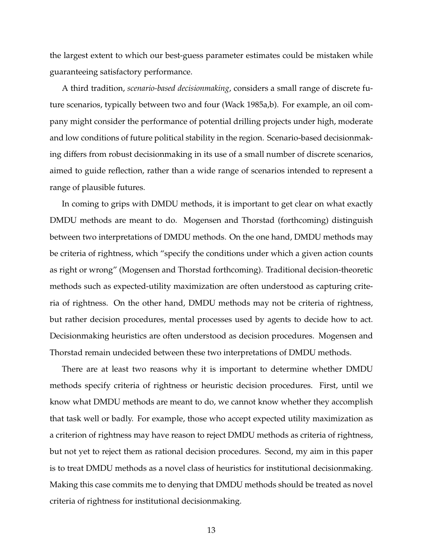the largest extent to which our best-guess parameter estimates could be mistaken while guaranteeing satisfactory performance.

A third tradition, *scenario-based decisionmaking*, considers a small range of discrete future scenarios, typically between two and four (Wack 1985a,b). For example, an oil company might consider the performance of potential drilling projects under high, moderate and low conditions of future political stability in the region. Scenario-based decisionmaking differs from robust decisionmaking in its use of a small number of discrete scenarios, aimed to guide reflection, rather than a wide range of scenarios intended to represent a range of plausible futures.

In coming to grips with DMDU methods, it is important to get clear on what exactly DMDU methods are meant to do. Mogensen and Thorstad (forthcoming) distinguish between two interpretations of DMDU methods. On the one hand, DMDU methods may be criteria of rightness, which "specify the conditions under which a given action counts as right or wrong" (Mogensen and Thorstad forthcoming). Traditional decision-theoretic methods such as expected-utility maximization are often understood as capturing criteria of rightness. On the other hand, DMDU methods may not be criteria of rightness, but rather decision procedures, mental processes used by agents to decide how to act. Decisionmaking heuristics are often understood as decision procedures. Mogensen and Thorstad remain undecided between these two interpretations of DMDU methods.

There are at least two reasons why it is important to determine whether DMDU methods specify criteria of rightness or heuristic decision procedures. First, until we know what DMDU methods are meant to do, we cannot know whether they accomplish that task well or badly. For example, those who accept expected utility maximization as a criterion of rightness may have reason to reject DMDU methods as criteria of rightness, but not yet to reject them as rational decision procedures. Second, my aim in this paper is to treat DMDU methods as a novel class of heuristics for institutional decisionmaking. Making this case commits me to denying that DMDU methods should be treated as novel criteria of rightness for institutional decisionmaking.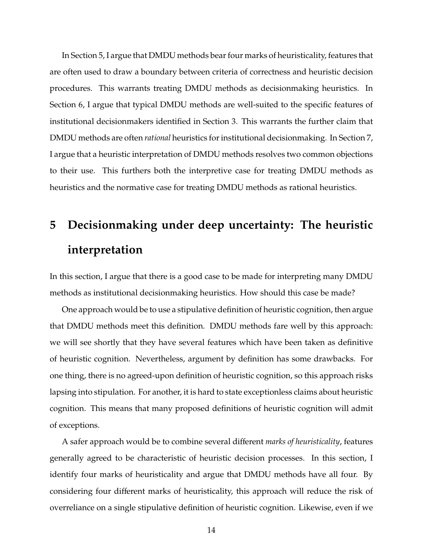In Section 5, I argue that DMDU methods bear four marks of heuristicality, features that are often used to draw a boundary between criteria of correctness and heuristic decision procedures. This warrants treating DMDU methods as decisionmaking heuristics. In Section 6, I argue that typical DMDU methods are well-suited to the specific features of institutional decisionmakers identified in Section 3. This warrants the further claim that DMDU methods are often *rational* heuristics for institutional decisionmaking. In Section 7, I argue that a heuristic interpretation of DMDU methods resolves two common objections to their use. This furthers both the interpretive case for treating DMDU methods as heuristics and the normative case for treating DMDU methods as rational heuristics.

# **5 Decisionmaking under deep uncertainty: The heuristic interpretation**

In this section, I argue that there is a good case to be made for interpreting many DMDU methods as institutional decisionmaking heuristics. How should this case be made?

One approach would be to use a stipulative definition of heuristic cognition, then argue that DMDU methods meet this definition. DMDU methods fare well by this approach: we will see shortly that they have several features which have been taken as definitive of heuristic cognition. Nevertheless, argument by definition has some drawbacks. For one thing, there is no agreed-upon definition of heuristic cognition, so this approach risks lapsing into stipulation. For another, it is hard to state exceptionless claims about heuristic cognition. This means that many proposed definitions of heuristic cognition will admit of exceptions.

A safer approach would be to combine several different *marks of heuristicality*, features generally agreed to be characteristic of heuristic decision processes. In this section, I identify four marks of heuristicality and argue that DMDU methods have all four. By considering four different marks of heuristicality, this approach will reduce the risk of overreliance on a single stipulative definition of heuristic cognition. Likewise, even if we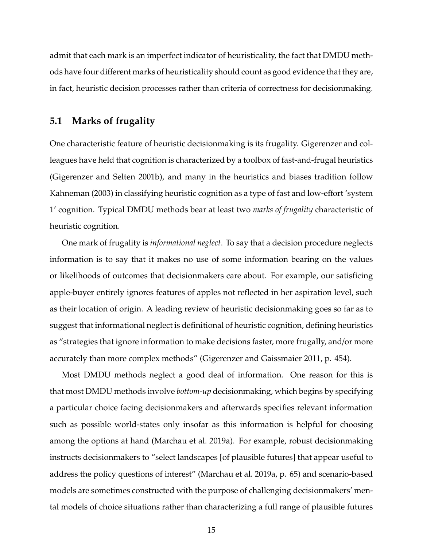admit that each mark is an imperfect indicator of heuristicality, the fact that DMDU methods have four different marks of heuristicality should count as good evidence that they are, in fact, heuristic decision processes rather than criteria of correctness for decisionmaking.

### **5.1 Marks of frugality**

One characteristic feature of heuristic decisionmaking is its frugality. Gigerenzer and colleagues have held that cognition is characterized by a toolbox of fast-and-frugal heuristics (Gigerenzer and Selten 2001b), and many in the heuristics and biases tradition follow Kahneman (2003) in classifying heuristic cognition as a type of fast and low-effort 'system 1' cognition. Typical DMDU methods bear at least two *marks of frugality* characteristic of heuristic cognition.

One mark of frugality is *informational neglect*. To say that a decision procedure neglects information is to say that it makes no use of some information bearing on the values or likelihoods of outcomes that decisionmakers care about. For example, our satisficing apple-buyer entirely ignores features of apples not reflected in her aspiration level, such as their location of origin. A leading review of heuristic decisionmaking goes so far as to suggest that informational neglect is definitional of heuristic cognition, defining heuristics as "strategies that ignore information to make decisions faster, more frugally, and/or more accurately than more complex methods" (Gigerenzer and Gaissmaier 2011, p. 454).

Most DMDU methods neglect a good deal of information. One reason for this is that most DMDU methods involve *bottom-up* decisionmaking, which begins by specifying a particular choice facing decisionmakers and afterwards specifies relevant information such as possible world-states only insofar as this information is helpful for choosing among the options at hand (Marchau et al. 2019a). For example, robust decisionmaking instructs decisionmakers to "select landscapes [of plausible futures] that appear useful to address the policy questions of interest" (Marchau et al. 2019a, p. 65) and scenario-based models are sometimes constructed with the purpose of challenging decisionmakers' mental models of choice situations rather than characterizing a full range of plausible futures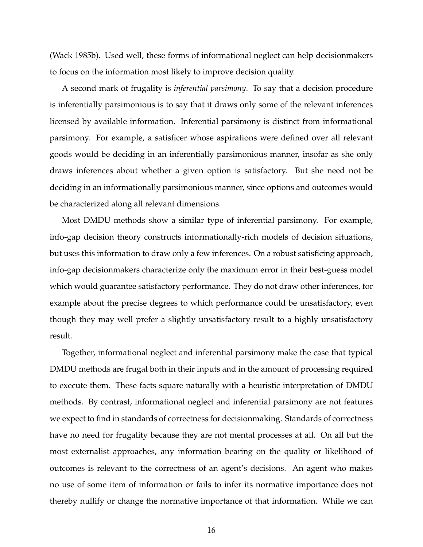(Wack 1985b). Used well, these forms of informational neglect can help decisionmakers to focus on the information most likely to improve decision quality.

A second mark of frugality is *inferential parsimony*. To say that a decision procedure is inferentially parsimonious is to say that it draws only some of the relevant inferences licensed by available information. Inferential parsimony is distinct from informational parsimony. For example, a satisficer whose aspirations were defined over all relevant goods would be deciding in an inferentially parsimonious manner, insofar as she only draws inferences about whether a given option is satisfactory. But she need not be deciding in an informationally parsimonious manner, since options and outcomes would be characterized along all relevant dimensions.

Most DMDU methods show a similar type of inferential parsimony. For example, info-gap decision theory constructs informationally-rich models of decision situations, but uses this information to draw only a few inferences. On a robust satisficing approach, info-gap decisionmakers characterize only the maximum error in their best-guess model which would guarantee satisfactory performance. They do not draw other inferences, for example about the precise degrees to which performance could be unsatisfactory, even though they may well prefer a slightly unsatisfactory result to a highly unsatisfactory result.

Together, informational neglect and inferential parsimony make the case that typical DMDU methods are frugal both in their inputs and in the amount of processing required to execute them. These facts square naturally with a heuristic interpretation of DMDU methods. By contrast, informational neglect and inferential parsimony are not features we expect to find in standards of correctness for decisionmaking. Standards of correctness have no need for frugality because they are not mental processes at all. On all but the most externalist approaches, any information bearing on the quality or likelihood of outcomes is relevant to the correctness of an agent's decisions. An agent who makes no use of some item of information or fails to infer its normative importance does not thereby nullify or change the normative importance of that information. While we can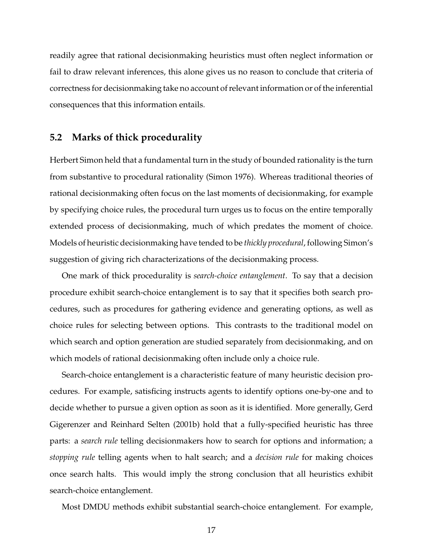readily agree that rational decisionmaking heuristics must often neglect information or fail to draw relevant inferences, this alone gives us no reason to conclude that criteria of correctness for decisionmaking take no account of relevant information or of the inferential consequences that this information entails.

#### **5.2 Marks of thick procedurality**

Herbert Simon held that a fundamental turn in the study of bounded rationality is the turn from substantive to procedural rationality (Simon 1976). Whereas traditional theories of rational decisionmaking often focus on the last moments of decisionmaking, for example by specifying choice rules, the procedural turn urges us to focus on the entire temporally extended process of decisionmaking, much of which predates the moment of choice. Models of heuristic decisionmaking have tended to be *thickly procedural*, following Simon's suggestion of giving rich characterizations of the decisionmaking process.

One mark of thick procedurality is *search-choice entanglement*. To say that a decision procedure exhibit search-choice entanglement is to say that it specifies both search procedures, such as procedures for gathering evidence and generating options, as well as choice rules for selecting between options. This contrasts to the traditional model on which search and option generation are studied separately from decisionmaking, and on which models of rational decisionmaking often include only a choice rule.

Search-choice entanglement is a characteristic feature of many heuristic decision procedures. For example, satisficing instructs agents to identify options one-by-one and to decide whether to pursue a given option as soon as it is identified. More generally, Gerd Gigerenzer and Reinhard Selten (2001b) hold that a fully-specified heuristic has three parts: a *search rule* telling decisionmakers how to search for options and information; a *stopping rule* telling agents when to halt search; and a *decision rule* for making choices once search halts. This would imply the strong conclusion that all heuristics exhibit search-choice entanglement.

Most DMDU methods exhibit substantial search-choice entanglement. For example,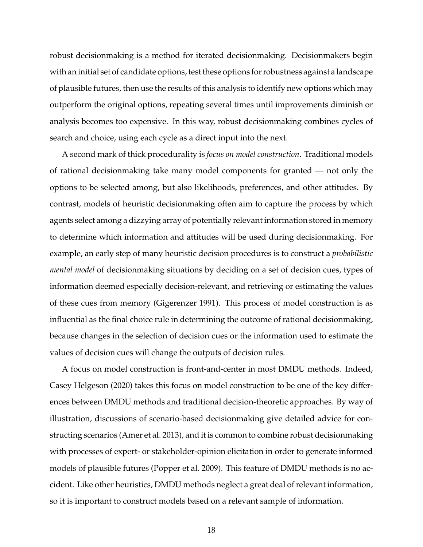robust decisionmaking is a method for iterated decisionmaking. Decisionmakers begin with an initial set of candidate options, test these options for robustness against a landscape of plausible futures, then use the results of this analysis to identify new options which may outperform the original options, repeating several times until improvements diminish or analysis becomes too expensive. In this way, robust decisionmaking combines cycles of search and choice, using each cycle as a direct input into the next.

A second mark of thick procedurality is *focus on model construction*. Traditional models of rational decisionmaking take many model components for granted — not only the options to be selected among, but also likelihoods, preferences, and other attitudes. By contrast, models of heuristic decisionmaking often aim to capture the process by which agents select among a dizzying array of potentially relevant information stored in memory to determine which information and attitudes will be used during decisionmaking. For example, an early step of many heuristic decision procedures is to construct a *probabilistic mental model* of decisionmaking situations by deciding on a set of decision cues, types of information deemed especially decision-relevant, and retrieving or estimating the values of these cues from memory (Gigerenzer 1991). This process of model construction is as influential as the final choice rule in determining the outcome of rational decisionmaking, because changes in the selection of decision cues or the information used to estimate the values of decision cues will change the outputs of decision rules.

A focus on model construction is front-and-center in most DMDU methods. Indeed, Casey Helgeson (2020) takes this focus on model construction to be one of the key differences between DMDU methods and traditional decision-theoretic approaches. By way of illustration, discussions of scenario-based decisionmaking give detailed advice for constructing scenarios (Amer et al. 2013), and it is common to combine robust decisionmaking with processes of expert- or stakeholder-opinion elicitation in order to generate informed models of plausible futures (Popper et al. 2009). This feature of DMDU methods is no accident. Like other heuristics, DMDU methods neglect a great deal of relevant information, so it is important to construct models based on a relevant sample of information.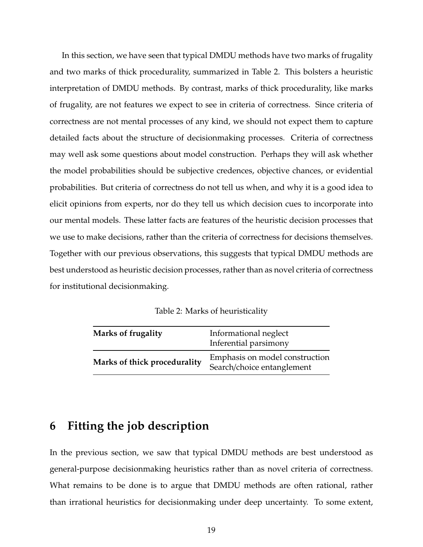In this section, we have seen that typical DMDU methods have two marks of frugality and two marks of thick procedurality, summarized in Table 2. This bolsters a heuristic interpretation of DMDU methods. By contrast, marks of thick procedurality, like marks of frugality, are not features we expect to see in criteria of correctness. Since criteria of correctness are not mental processes of any kind, we should not expect them to capture detailed facts about the structure of decisionmaking processes. Criteria of correctness may well ask some questions about model construction. Perhaps they will ask whether the model probabilities should be subjective credences, objective chances, or evidential probabilities. But criteria of correctness do not tell us when, and why it is a good idea to elicit opinions from experts, nor do they tell us which decision cues to incorporate into our mental models. These latter facts are features of the heuristic decision processes that we use to make decisions, rather than the criteria of correctness for decisions themselves. Together with our previous observations, this suggests that typical DMDU methods are best understood as heuristic decision processes, rather than as novel criteria of correctness for institutional decisionmaking.

Table 2: Marks of heuristicality

| Marks of frugality           | Informational neglect<br>Inferential parsimony               |
|------------------------------|--------------------------------------------------------------|
| Marks of thick procedurality | Emphasis on model construction<br>Search/choice entanglement |

## **6 Fitting the job description**

In the previous section, we saw that typical DMDU methods are best understood as general-purpose decisionmaking heuristics rather than as novel criteria of correctness. What remains to be done is to argue that DMDU methods are often rational, rather than irrational heuristics for decisionmaking under deep uncertainty. To some extent,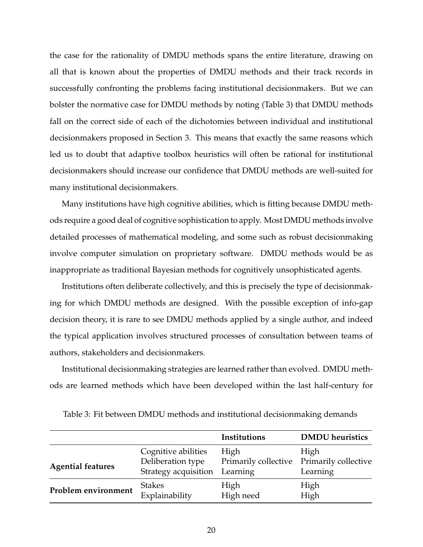the case for the rationality of DMDU methods spans the entire literature, drawing on all that is known about the properties of DMDU methods and their track records in successfully confronting the problems facing institutional decisionmakers. But we can bolster the normative case for DMDU methods by noting (Table 3) that DMDU methods fall on the correct side of each of the dichotomies between individual and institutional decisionmakers proposed in Section 3. This means that exactly the same reasons which led us to doubt that adaptive toolbox heuristics will often be rational for institutional decisionmakers should increase our confidence that DMDU methods are well-suited for many institutional decisionmakers.

Many institutions have high cognitive abilities, which is fitting because DMDU methods require a good deal of cognitive sophistication to apply. Most DMDU methods involve detailed processes of mathematical modeling, and some such as robust decisionmaking involve computer simulation on proprietary software. DMDU methods would be as inappropriate as traditional Bayesian methods for cognitively unsophisticated agents.

Institutions often deliberate collectively, and this is precisely the type of decisionmaking for which DMDU methods are designed. With the possible exception of info-gap decision theory, it is rare to see DMDU methods applied by a single author, and indeed the typical application involves structured processes of consultation between teams of authors, stakeholders and decisionmakers.

Institutional decisionmaking strategies are learned rather than evolved. DMDU methods are learned methods which have been developed within the last half-century for

|                          |                      | Institutions         | <b>DMDU</b> heuristics |
|--------------------------|----------------------|----------------------|------------------------|
| <b>Agential features</b> | Cognitive abilities  | High                 | High                   |
|                          | Deliberation type    | Primarily collective | Primarily collective   |
|                          | Strategy acquisition | Learning             | Learning               |
| Problem environment      | <b>Stakes</b>        | High                 | High                   |
|                          | Explainability       | High need            | High                   |

Table 3: Fit between DMDU methods and institutional decisionmaking demands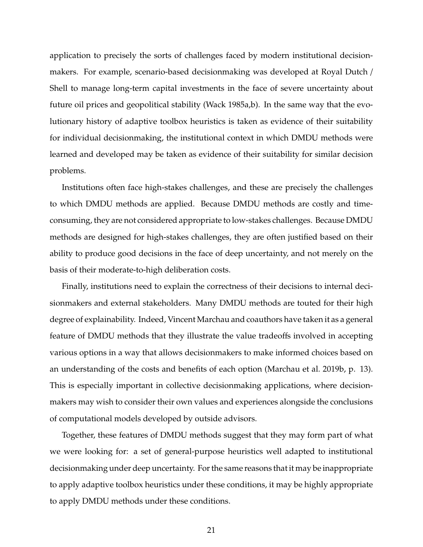application to precisely the sorts of challenges faced by modern institutional decisionmakers. For example, scenario-based decisionmaking was developed at Royal Dutch / Shell to manage long-term capital investments in the face of severe uncertainty about future oil prices and geopolitical stability (Wack 1985a,b). In the same way that the evolutionary history of adaptive toolbox heuristics is taken as evidence of their suitability for individual decisionmaking, the institutional context in which DMDU methods were learned and developed may be taken as evidence of their suitability for similar decision problems.

Institutions often face high-stakes challenges, and these are precisely the challenges to which DMDU methods are applied. Because DMDU methods are costly and timeconsuming, they are not considered appropriate to low-stakes challenges. Because DMDU methods are designed for high-stakes challenges, they are often justified based on their ability to produce good decisions in the face of deep uncertainty, and not merely on the basis of their moderate-to-high deliberation costs.

Finally, institutions need to explain the correctness of their decisions to internal decisionmakers and external stakeholders. Many DMDU methods are touted for their high degree of explainability. Indeed, Vincent Marchau and coauthors have taken it as a general feature of DMDU methods that they illustrate the value tradeoffs involved in accepting various options in a way that allows decisionmakers to make informed choices based on an understanding of the costs and benefits of each option (Marchau et al. 2019b, p. 13). This is especially important in collective decisionmaking applications, where decisionmakers may wish to consider their own values and experiences alongside the conclusions of computational models developed by outside advisors.

Together, these features of DMDU methods suggest that they may form part of what we were looking for: a set of general-purpose heuristics well adapted to institutional decisionmaking under deep uncertainty. For the same reasons that it may be inappropriate to apply adaptive toolbox heuristics under these conditions, it may be highly appropriate to apply DMDU methods under these conditions.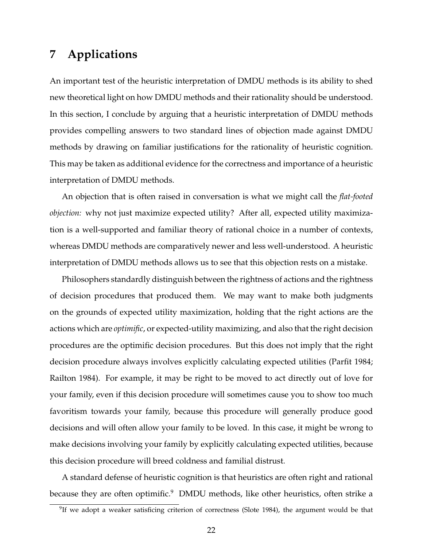## **7 Applications**

An important test of the heuristic interpretation of DMDU methods is its ability to shed new theoretical light on how DMDU methods and their rationality should be understood. In this section, I conclude by arguing that a heuristic interpretation of DMDU methods provides compelling answers to two standard lines of objection made against DMDU methods by drawing on familiar justifications for the rationality of heuristic cognition. This may be taken as additional evidence for the correctness and importance of a heuristic interpretation of DMDU methods.

An objection that is often raised in conversation is what we might call the *flat-footed objection:* why not just maximize expected utility? After all, expected utility maximization is a well-supported and familiar theory of rational choice in a number of contexts, whereas DMDU methods are comparatively newer and less well-understood. A heuristic interpretation of DMDU methods allows us to see that this objection rests on a mistake.

Philosophers standardly distinguish between the rightness of actions and the rightness of decision procedures that produced them. We may want to make both judgments on the grounds of expected utility maximization, holding that the right actions are the actions which are *optimific*, or expected-utility maximizing, and also that the right decision procedures are the optimific decision procedures. But this does not imply that the right decision procedure always involves explicitly calculating expected utilities (Parfit 1984; Railton 1984). For example, it may be right to be moved to act directly out of love for your family, even if this decision procedure will sometimes cause you to show too much favoritism towards your family, because this procedure will generally produce good decisions and will often allow your family to be loved. In this case, it might be wrong to make decisions involving your family by explicitly calculating expected utilities, because this decision procedure will breed coldness and familial distrust.

A standard defense of heuristic cognition is that heuristics are often right and rational because they are often optimific.<sup>9</sup> DMDU methods, like other heuristics, often strike a

 $9$ If we adopt a weaker satisficing criterion of correctness (Slote 1984), the argument would be that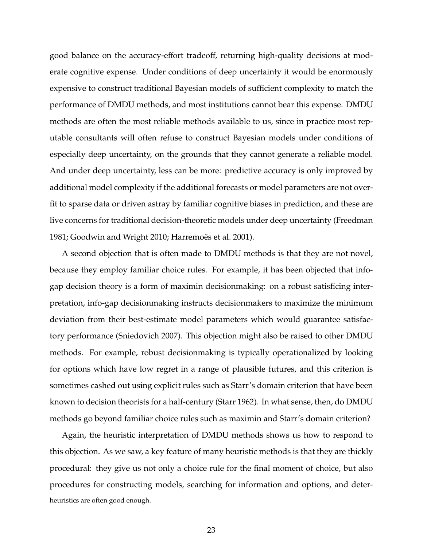good balance on the accuracy-effort tradeoff, returning high-quality decisions at moderate cognitive expense. Under conditions of deep uncertainty it would be enormously expensive to construct traditional Bayesian models of sufficient complexity to match the performance of DMDU methods, and most institutions cannot bear this expense. DMDU methods are often the most reliable methods available to us, since in practice most reputable consultants will often refuse to construct Bayesian models under conditions of especially deep uncertainty, on the grounds that they cannot generate a reliable model. And under deep uncertainty, less can be more: predictive accuracy is only improved by additional model complexity if the additional forecasts or model parameters are not overfit to sparse data or driven astray by familiar cognitive biases in prediction, and these are live concerns for traditional decision-theoretic models under deep uncertainty (Freedman 1981; Goodwin and Wright 2010; Harremoës et al. 2001).

A second objection that is often made to DMDU methods is that they are not novel, because they employ familiar choice rules. For example, it has been objected that infogap decision theory is a form of maximin decisionmaking: on a robust satisficing interpretation, info-gap decisionmaking instructs decisionmakers to maximize the minimum deviation from their best-estimate model parameters which would guarantee satisfactory performance (Sniedovich 2007). This objection might also be raised to other DMDU methods. For example, robust decisionmaking is typically operationalized by looking for options which have low regret in a range of plausible futures, and this criterion is sometimes cashed out using explicit rules such as Starr's domain criterion that have been known to decision theorists for a half-century (Starr 1962). In what sense, then, do DMDU methods go beyond familiar choice rules such as maximin and Starr's domain criterion?

Again, the heuristic interpretation of DMDU methods shows us how to respond to this objection. As we saw, a key feature of many heuristic methods is that they are thickly procedural: they give us not only a choice rule for the final moment of choice, but also procedures for constructing models, searching for information and options, and deter-

heuristics are often good enough.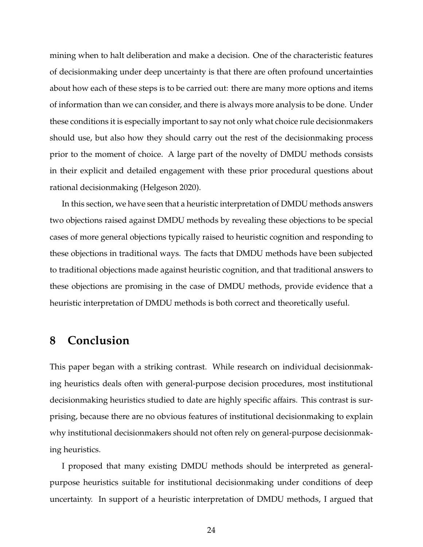mining when to halt deliberation and make a decision. One of the characteristic features of decisionmaking under deep uncertainty is that there are often profound uncertainties about how each of these steps is to be carried out: there are many more options and items of information than we can consider, and there is always more analysis to be done. Under these conditions it is especially important to say not only what choice rule decisionmakers should use, but also how they should carry out the rest of the decisionmaking process prior to the moment of choice. A large part of the novelty of DMDU methods consists in their explicit and detailed engagement with these prior procedural questions about rational decisionmaking (Helgeson 2020).

In this section, we have seen that a heuristic interpretation of DMDU methods answers two objections raised against DMDU methods by revealing these objections to be special cases of more general objections typically raised to heuristic cognition and responding to these objections in traditional ways. The facts that DMDU methods have been subjected to traditional objections made against heuristic cognition, and that traditional answers to these objections are promising in the case of DMDU methods, provide evidence that a heuristic interpretation of DMDU methods is both correct and theoretically useful.

## **8 Conclusion**

This paper began with a striking contrast. While research on individual decisionmaking heuristics deals often with general-purpose decision procedures, most institutional decisionmaking heuristics studied to date are highly specific affairs. This contrast is surprising, because there are no obvious features of institutional decisionmaking to explain why institutional decisionmakers should not often rely on general-purpose decisionmaking heuristics.

I proposed that many existing DMDU methods should be interpreted as generalpurpose heuristics suitable for institutional decisionmaking under conditions of deep uncertainty. In support of a heuristic interpretation of DMDU methods, I argued that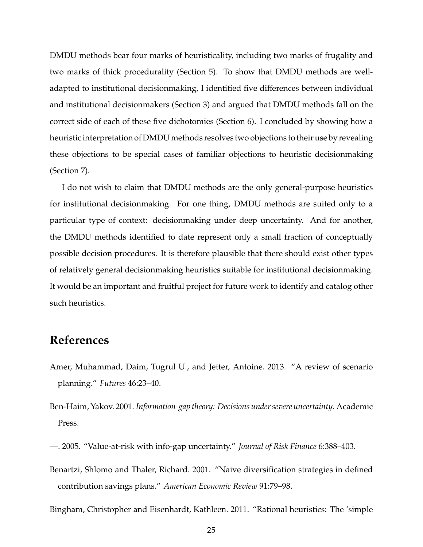DMDU methods bear four marks of heuristicality, including two marks of frugality and two marks of thick procedurality (Section 5). To show that DMDU methods are welladapted to institutional decisionmaking, I identified five differences between individual and institutional decisionmakers (Section 3) and argued that DMDU methods fall on the correct side of each of these five dichotomies (Section 6). I concluded by showing how a heuristic interpretation of DMDU methods resolves two objections to their use by revealing these objections to be special cases of familiar objections to heuristic decisionmaking (Section 7).

I do not wish to claim that DMDU methods are the only general-purpose heuristics for institutional decisionmaking. For one thing, DMDU methods are suited only to a particular type of context: decisionmaking under deep uncertainty. And for another, the DMDU methods identified to date represent only a small fraction of conceptually possible decision procedures. It is therefore plausible that there should exist other types of relatively general decisionmaking heuristics suitable for institutional decisionmaking. It would be an important and fruitful project for future work to identify and catalog other such heuristics.

## **References**

- Amer, Muhammad, Daim, Tugrul U., and Jetter, Antoine. 2013. "A review of scenario planning." *Futures* 46:23–40.
- Ben-Haim, Yakov. 2001. *Information-gap theory: Decisions under severe uncertainty*. Academic Press.
- —. 2005. "Value-at-risk with info-gap uncertainty." *Journal of Risk Finance* 6:388–403.
- Benartzi, Shlomo and Thaler, Richard. 2001. "Naive diversification strategies in defined contribution savings plans." *American Economic Review* 91:79–98.
- Bingham, Christopher and Eisenhardt, Kathleen. 2011. "Rational heuristics: The 'simple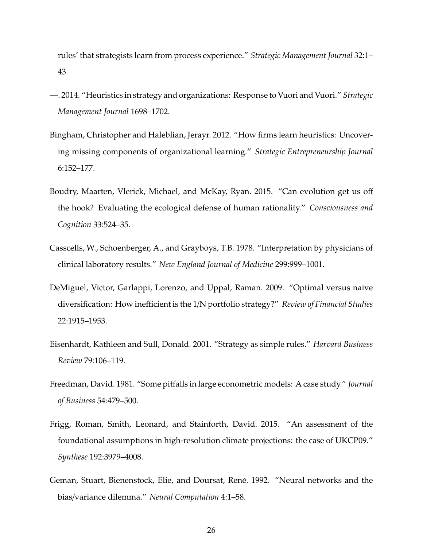rules' that strategists learn from process experience." *Strategic Management Journal* 32:1– 43.

- —. 2014. "Heuristics in strategy and organizations: Response to Vuori and Vuori." *Strategic Management Journal* 1698–1702.
- Bingham, Christopher and Haleblian, Jerayr. 2012. "How firms learn heuristics: Uncovering missing components of organizational learning." *Strategic Entrepreneurship Journal* 6:152–177.
- Boudry, Maarten, Vlerick, Michael, and McKay, Ryan. 2015. "Can evolution get us off the hook? Evaluating the ecological defense of human rationality." *Consciousness and Cognition* 33:524–35.
- Casscells, W., Schoenberger, A., and Grayboys, T.B. 1978. "Interpretation by physicians of clinical laboratory results." *New England Journal of Medicine* 299:999–1001.
- DeMiguel, Victor, Garlappi, Lorenzo, and Uppal, Raman. 2009. "Optimal versus naive diversification: How inefficient is the 1/N portfolio strategy?" *Review of Financial Studies* 22:1915–1953.
- Eisenhardt, Kathleen and Sull, Donald. 2001. "Strategy as simple rules." *Harvard Business Review* 79:106–119.
- Freedman, David. 1981. "Some pitfalls in large econometric models: A case study." *Journal of Business* 54:479–500.
- Frigg, Roman, Smith, Leonard, and Stainforth, David. 2015. "An assessment of the foundational assumptions in high-resolution climate projections: the case of UKCP09." *Synthese* 192:3979–4008.
- Geman, Stuart, Bienenstock, Elie, and Doursat, René. 1992. "Neural networks and the bias/variance dilemma." *Neural Computation* 4:1–58.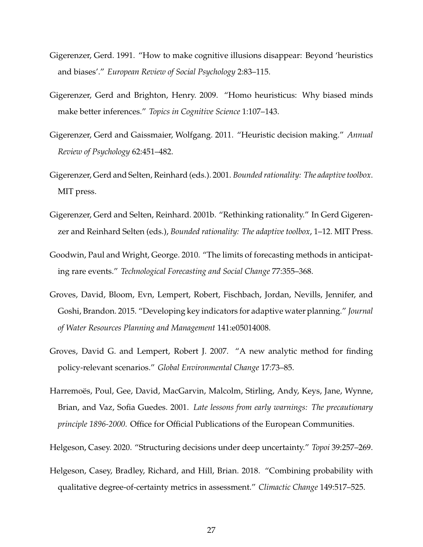- Gigerenzer, Gerd. 1991. "How to make cognitive illusions disappear: Beyond 'heuristics and biases'." *European Review of Social Psychology* 2:83–115.
- Gigerenzer, Gerd and Brighton, Henry. 2009. "Homo heuristicus: Why biased minds make better inferences." *Topics in Cognitive Science* 1:107–143.
- Gigerenzer, Gerd and Gaissmaier, Wolfgang. 2011. "Heuristic decision making." *Annual Review of Psychology* 62:451–482.
- Gigerenzer, Gerd and Selten, Reinhard (eds.). 2001. *Bounded rationality: The adaptive toolbox*. MIT press.
- Gigerenzer, Gerd and Selten, Reinhard. 2001b. "Rethinking rationality." In Gerd Gigerenzer and Reinhard Selten (eds.), *Bounded rationality: The adaptive toolbox*, 1–12. MIT Press.
- Goodwin, Paul and Wright, George. 2010. "The limits of forecasting methods in anticipating rare events." *Technological Forecasting and Social Change* 77:355–368.
- Groves, David, Bloom, Evn, Lempert, Robert, Fischbach, Jordan, Nevills, Jennifer, and Goshi, Brandon. 2015. "Developing key indicators for adaptive water planning." *Journal of Water Resources Planning and Management* 141:e05014008.
- Groves, David G. and Lempert, Robert J. 2007. "A new analytic method for finding policy-relevant scenarios." *Global Environmental Change* 17:73–85.
- Harremoës, Poul, Gee, David, MacGarvin, Malcolm, Stirling, Andy, Keys, Jane, Wynne, Brian, and Vaz, Sofia Guedes. 2001. *Late lessons from early warnings: The precautionary principle 1896-2000*. Office for Official Publications of the European Communities.
- Helgeson, Casey. 2020. "Structuring decisions under deep uncertainty." *Topoi* 39:257–269.
- Helgeson, Casey, Bradley, Richard, and Hill, Brian. 2018. "Combining probability with qualitative degree-of-certainty metrics in assessment." *Climactic Change* 149:517–525.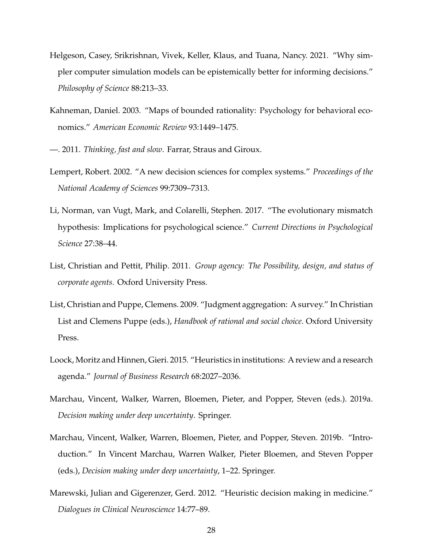- Helgeson, Casey, Srikrishnan, Vivek, Keller, Klaus, and Tuana, Nancy. 2021. "Why simpler computer simulation models can be epistemically better for informing decisions." *Philosophy of Science* 88:213–33.
- Kahneman, Daniel. 2003. "Maps of bounded rationality: Psychology for behavioral economics." *American Economic Review* 93:1449–1475.
- —. 2011. *Thinking, fast and slow*. Farrar, Straus and Giroux.
- Lempert, Robert. 2002. "A new decision sciences for complex systems." *Proceedings of the National Academy of Sciences* 99:7309–7313.
- Li, Norman, van Vugt, Mark, and Colarelli, Stephen. 2017. "The evolutionary mismatch hypothesis: Implications for psychological science." *Current Directions in Psychological Science* 27:38–44.
- List, Christian and Pettit, Philip. 2011. *Group agency: The Possibility, design, and status of corporate agents*. Oxford University Press.
- List, Christian and Puppe, Clemens. 2009. "Judgment aggregation: A survey." In Christian List and Clemens Puppe (eds.), *Handbook of rational and social choice*. Oxford University Press.
- Loock, Moritz and Hinnen, Gieri. 2015. "Heuristics in institutions: A review and a research agenda." *Journal of Business Research* 68:2027–2036.
- Marchau, Vincent, Walker, Warren, Bloemen, Pieter, and Popper, Steven (eds.). 2019a. *Decision making under deep uncertainty*. Springer.
- Marchau, Vincent, Walker, Warren, Bloemen, Pieter, and Popper, Steven. 2019b. "Introduction." In Vincent Marchau, Warren Walker, Pieter Bloemen, and Steven Popper (eds.), *Decision making under deep uncertainty*, 1–22. Springer.
- Marewski, Julian and Gigerenzer, Gerd. 2012. "Heuristic decision making in medicine." *Dialogues in Clinical Neuroscience* 14:77–89.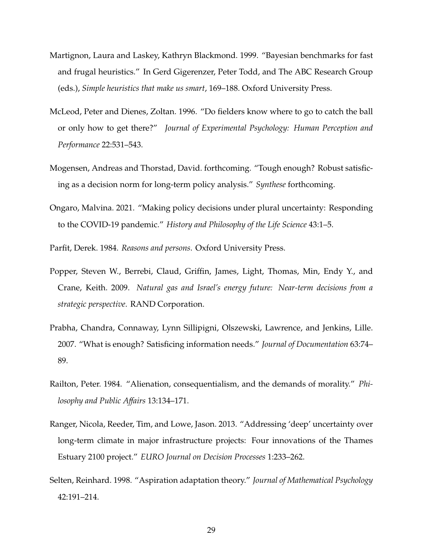- Martignon, Laura and Laskey, Kathryn Blackmond. 1999. "Bayesian benchmarks for fast and frugal heuristics." In Gerd Gigerenzer, Peter Todd, and The ABC Research Group (eds.), *Simple heuristics that make us smart*, 169–188. Oxford University Press.
- McLeod, Peter and Dienes, Zoltan. 1996. "Do fielders know where to go to catch the ball or only how to get there?" *Journal of Experimental Psychology: Human Perception and Performance* 22:531–543.
- Mogensen, Andreas and Thorstad, David. forthcoming. "Tough enough? Robust satisficing as a decision norm for long-term policy analysis." *Synthese* forthcoming.
- Ongaro, Malvina. 2021. "Making policy decisions under plural uncertainty: Responding to the COVID-19 pandemic." *History and Philosophy of the Life Science* 43:1–5.
- Parfit, Derek. 1984. *Reasons and persons*. Oxford University Press.
- Popper, Steven W., Berrebi, Claud, Griffin, James, Light, Thomas, Min, Endy Y., and Crane, Keith. 2009. *Natural gas and Israel's energy future: Near-term decisions from a strategic perspective*. RAND Corporation.
- Prabha, Chandra, Connaway, Lynn Sillipigni, Olszewski, Lawrence, and Jenkins, Lille. 2007. "What is enough? Satisficing information needs." *Journal of Documentation* 63:74– 89.
- Railton, Peter. 1984. "Alienation, consequentialism, and the demands of morality." *Philosophy and Public A*ff*airs* 13:134–171.
- Ranger, Nicola, Reeder, Tim, and Lowe, Jason. 2013. "Addressing 'deep' uncertainty over long-term climate in major infrastructure projects: Four innovations of the Thames Estuary 2100 project." *EURO Journal on Decision Processes* 1:233–262.
- Selten, Reinhard. 1998. "Aspiration adaptation theory." *Journal of Mathematical Psychology* 42:191–214.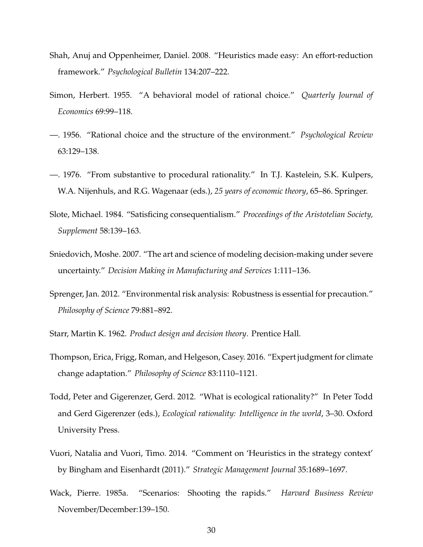- Shah, Anuj and Oppenheimer, Daniel. 2008. "Heuristics made easy: An effort-reduction framework." *Psychological Bulletin* 134:207–222.
- Simon, Herbert. 1955. "A behavioral model of rational choice." *Quarterly Journal of Economics* 69:99–118.
- —. 1956. "Rational choice and the structure of the environment." *Psychological Review* 63:129–138.
- —. 1976. "From substantive to procedural rationality." In T.J. Kastelein, S.K. Kulpers, W.A. Nijenhuls, and R.G. Wagenaar (eds.), *25 years of economic theory*, 65–86. Springer.
- Slote, Michael. 1984. "Satisficing consequentialism." *Proceedings of the Aristotelian Society, Supplement* 58:139–163.
- Sniedovich, Moshe. 2007. "The art and science of modeling decision-making under severe uncertainty." *Decision Making in Manufacturing and Services* 1:111–136.
- Sprenger, Jan. 2012. "Environmental risk analysis: Robustness is essential for precaution." *Philosophy of Science* 79:881–892.
- Starr, Martin K. 1962. *Product design and decision theory*. Prentice Hall.
- Thompson, Erica, Frigg, Roman, and Helgeson, Casey. 2016. "Expert judgment for climate change adaptation." *Philosophy of Science* 83:1110–1121.
- Todd, Peter and Gigerenzer, Gerd. 2012. "What is ecological rationality?" In Peter Todd and Gerd Gigerenzer (eds.), *Ecological rationality: Intelligence in the world*, 3–30. Oxford University Press.
- Vuori, Natalia and Vuori, Timo. 2014. "Comment on 'Heuristics in the strategy context' by Bingham and Eisenhardt (2011)." *Strategic Management Journal* 35:1689–1697.
- Wack, Pierre. 1985a. "Scenarios: Shooting the rapids." *Harvard Business Review* November/December:139–150.